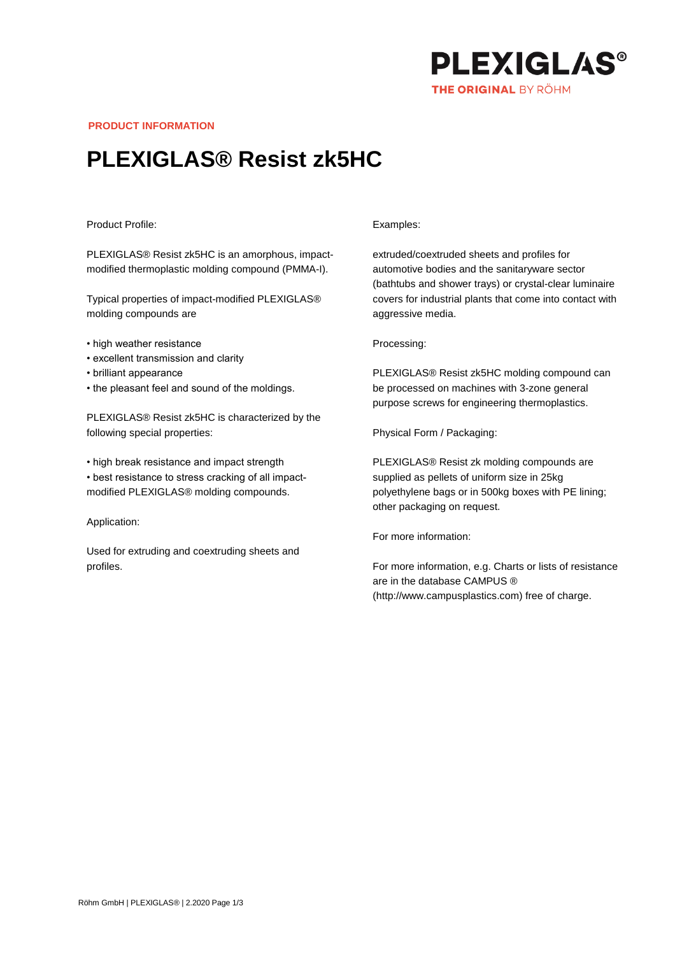

**PRODUCT INFORMATION**

## **PLEXIGLAS® Resist zk5HC**

## Product Profile:

PLEXIGLAS® Resist zk5HC is an amorphous, impactmodified thermoplastic molding compound (PMMA-I).

Typical properties of impact-modified PLEXIGLAS® molding compounds are

- high weather resistance
- excellent transmission and clarity
- brilliant appearance
- the pleasant feel and sound of the moldings.

PLEXIGLAS® Resist zk5HC is characterized by the following special properties:

• high break resistance and impact strength • best resistance to stress cracking of all impactmodified PLEXIGLAS® molding compounds.

Application:

Used for extruding and coextruding sheets and profiles.

## Examples:

extruded/coextruded sheets and profiles for automotive bodies and the sanitaryware sector (bathtubs and shower trays) or crystal-clear luminaire covers for industrial plants that come into contact with aggressive media.

Processing:

PLEXIGLAS® Resist zk5HC molding compound can be processed on machines with 3-zone general purpose screws for engineering thermoplastics.

Physical Form / Packaging:

PLEXIGLAS® Resist zk molding compounds are supplied as pellets of uniform size in 25kg polyethylene bags or in 500kg boxes with PE lining; other packaging on request.

For more information:

For more information, e.g. Charts or lists of resistance are in the database CAMPUS ® (http://www.campusplastics.com) free of charge.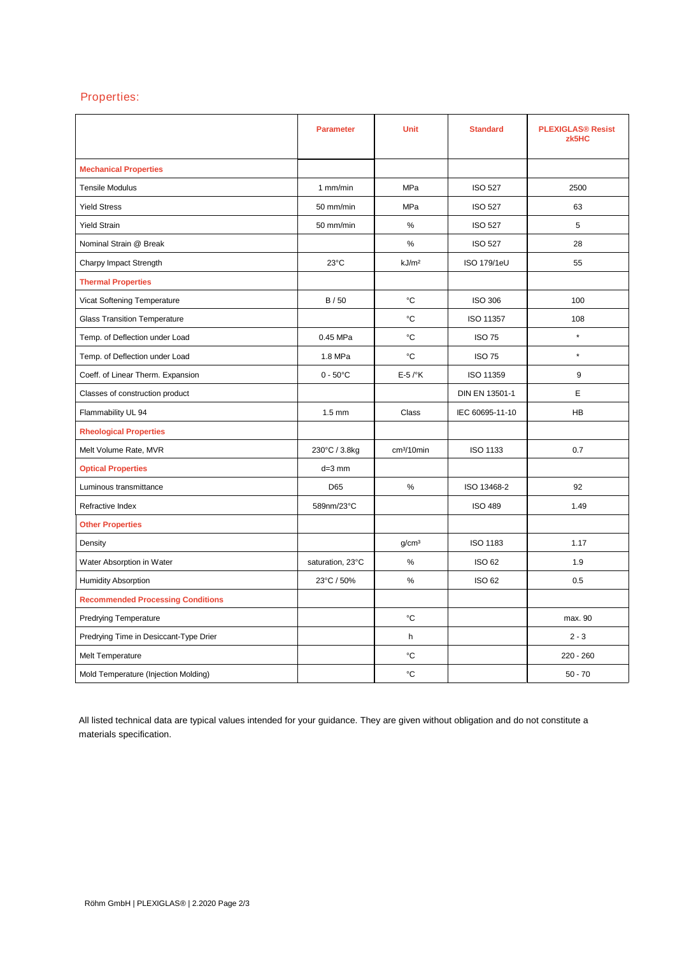## Properties:

|                                          | <b>Parameter</b>  | Unit                   | <b>Standard</b>    | <b>PLEXIGLAS® Resist</b><br>zk5HC |
|------------------------------------------|-------------------|------------------------|--------------------|-----------------------------------|
| <b>Mechanical Properties</b>             |                   |                        |                    |                                   |
| <b>Tensile Modulus</b>                   | 1 mm/min          | <b>MPa</b>             | <b>ISO 527</b>     | 2500                              |
| <b>Yield Stress</b>                      | 50 mm/min         | MPa                    | <b>ISO 527</b>     | 63                                |
| <b>Yield Strain</b>                      | 50 mm/min         | $\%$                   | <b>ISO 527</b>     | 5                                 |
| Nominal Strain @ Break                   |                   | %                      | <b>ISO 527</b>     | 28                                |
| Charpy Impact Strength                   | $23^{\circ}$ C    | kJ/m <sup>2</sup>      | <b>ISO 179/1eU</b> | 55                                |
| <b>Thermal Properties</b>                |                   |                        |                    |                                   |
| Vicat Softening Temperature              | B / 50            | °C                     | <b>ISO 306</b>     | 100                               |
| <b>Glass Transition Temperature</b>      |                   | °C                     | ISO 11357          | 108                               |
| Temp. of Deflection under Load           | 0.45 MPa          | °C                     | <b>ISO 75</b>      | $\star$                           |
| Temp. of Deflection under Load           | 1.8 MPa           | °C                     | <b>ISO 75</b>      | $\star$                           |
| Coeff. of Linear Therm. Expansion        | $0 - 50^{\circ}C$ | $E-5$ / $\mathrm{K}$   | ISO 11359          | 9                                 |
| Classes of construction product          |                   |                        | DIN EN 13501-1     | E                                 |
| Flammability UL 94                       | $1.5 \text{ mm}$  | Class                  | IEC 60695-11-10    | <b>HB</b>                         |
| <b>Rheological Properties</b>            |                   |                        |                    |                                   |
| Melt Volume Rate, MVR                    | 230°C / 3.8kg     | cm <sup>3</sup> /10min | ISO 1133           | 0.7                               |
| <b>Optical Properties</b>                | $d=3$ mm          |                        |                    |                                   |
| Luminous transmittance                   | D65               | $\%$                   | ISO 13468-2        | 92                                |
| Refractive Index                         | 589nm/23°C        |                        | <b>ISO 489</b>     | 1.49                              |
| <b>Other Properties</b>                  |                   |                        |                    |                                   |
| Density                                  |                   | g/cm <sup>3</sup>      | <b>ISO 1183</b>    | 1.17                              |
| Water Absorption in Water                | saturation, 23°C  | $\%$                   | <b>ISO 62</b>      | 1.9                               |
| <b>Humidity Absorption</b>               | 23°C / 50%        | %                      | <b>ISO 62</b>      | 0.5                               |
| <b>Recommended Processing Conditions</b> |                   |                        |                    |                                   |
| <b>Predrying Temperature</b>             |                   | °C                     |                    | max. 90                           |
| Predrying Time in Desiccant-Type Drier   |                   | h                      |                    | $2 - 3$                           |
| Melt Temperature                         |                   | °C                     |                    | $220 - 260$                       |
| Mold Temperature (Injection Molding)     |                   | °C                     |                    | $50 - 70$                         |

All listed technical data are typical values intended for your guidance. They are given without obligation and do not constitute a materials specification.